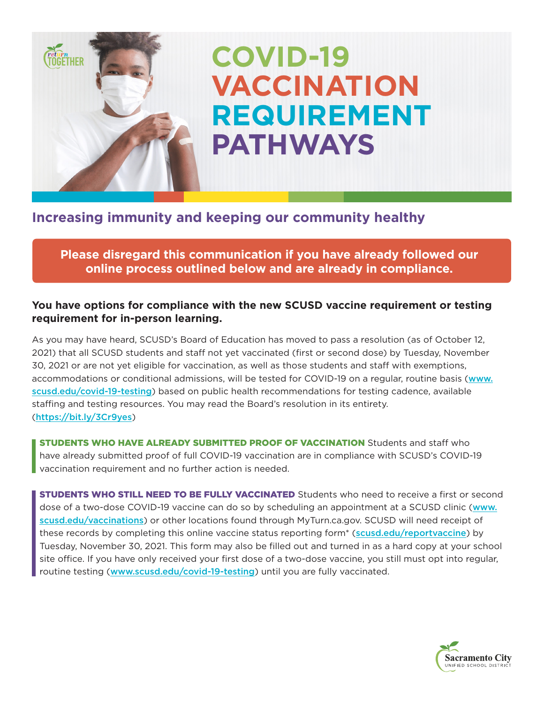# **COVID-19 VACCINATION REQUIREMENT PATHWAYS**

## **Increasing immunity and keeping our community healthy**

**Ceturn**<br>TOGETHER

**Please disregard this communication if you have already followed our online process outlined below and are already in compliance.**

### **You have options for compliance with the new SCUSD vaccine requirement or testing requirement for in-person learning.**

As you may have heard, SCUSD's Board of Education has moved to pass a resolution (as of October 12, 2021) that all SCUSD students and staff not yet vaccinated (first or second dose) by Tuesday, November 30, 2021 or are not yet eligible for vaccination, as well as those students and staff with exemptions, accommodations or conditional admissions, will be tested for COVID-19 on a regular, routine basis (www. scusd.edu/covid-19-testing) based on public health recommendations for testing cadence, available staffing and testing resources. You may read the Board's resolution in its entirety. (https://bit.ly/3Cr9yes)

STUDENTS WHO HAVE ALREADY SUBMITTED PROOF OF VACCINATION Students and staff who have already submitted proof of full COVID-19 vaccination are in compliance with SCUSD's COVID-19 vaccination requirement and no further action is needed.

**STUDENTS WHO STILL NEED TO BE FULLY VACCINATED** Students who need to receive a first or second dose of a two-dose COVID-19 vaccine can do so by scheduling an appointment at a SCUSD clinic (www. scusd.edu/vaccinations) or other locations found through MyTurn.ca.gov. SCUSD will need receipt of these records by completing this online vaccine status reporting form<sup>\*</sup> (scusd.edu/reportvaccine) by Tuesday, November 30, 2021. This form may also be filled out and turned in as a hard copy at your school site office. If you have only received your first dose of a two-dose vaccine, you still must opt into regular, routine testing (www.scusd.edu/covid-19-testing) until you are fully vaccinated.